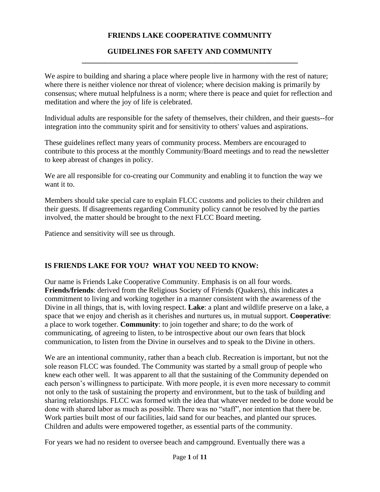## **FRIENDS LAKE COOPERATIVE COMMUNITY**

#### **GUIDELINES FOR SAFETY AND COMMUNITY \_\_\_\_\_\_\_\_\_\_\_\_\_\_\_\_\_\_\_\_\_\_\_\_\_\_\_\_\_\_\_\_\_\_\_\_\_\_\_\_\_\_\_\_\_\_\_\_\_\_\_\_\_\_\_\_\_\_**

We aspire to building and sharing a place where people live in harmony with the rest of nature; where there is neither violence nor threat of violence; where decision making is primarily by consensus; where mutual helpfulness is a norm; where there is peace and quiet for reflection and meditation and where the joy of life is celebrated.

Individual adults are responsible for the safety of themselves, their children, and their guests--for integration into the community spirit and for sensitivity to others' values and aspirations.

These guidelines reflect many years of community process. Members are encouraged to contribute to this process at the monthly Community/Board meetings and to read the newsletter to keep abreast of changes in policy.

We are all responsible for co-creating our Community and enabling it to function the way we want it to.

Members should take special care to explain FLCC customs and policies to their children and their guests. If disagreements regarding Community policy cannot be resolved by the parties involved, the matter should be brought to the next FLCC Board meeting.

Patience and sensitivity will see us through.

### **IS FRIENDS LAKE FOR YOU? WHAT YOU NEED TO KNOW:**

Our name is Friends Lake Cooperative Community. Emphasis is on all four words. **Friends/friends**: derived from the Religious Society of Friends (Quakers), this indicates a commitment to living and working together in a manner consistent with the awareness of the Divine in all things, that is, with loving respect. **Lake**: a plant and wildlife preserve on a lake, a space that we enjoy and cherish as it cherishes and nurtures us, in mutual support. **Cooperative**: a place to work together. **Community**: to join together and share; to do the work of communicating, of agreeing to listen, to be introspective about our own fears that block communication, to listen from the Divine in ourselves and to speak to the Divine in others.

We are an intentional community, rather than a beach club. Recreation is important, but not the sole reason FLCC was founded. The Community was started by a small group of people who knew each other well. It was apparent to all that the sustaining of the Community depended on each person's willingness to participate. With more people, it is even more necessary to commit not only to the task of sustaining the property and environment, but to the task of building and sharing relationships. FLCC was formed with the idea that whatever needed to be done would be done with shared labor as much as possible. There was no "staff", nor intention that there be. Work parties built most of our facilities, laid sand for our beaches, and planted our spruces. Children and adults were empowered together, as essential parts of the community.

For years we had no resident to oversee beach and campground. Eventually there was a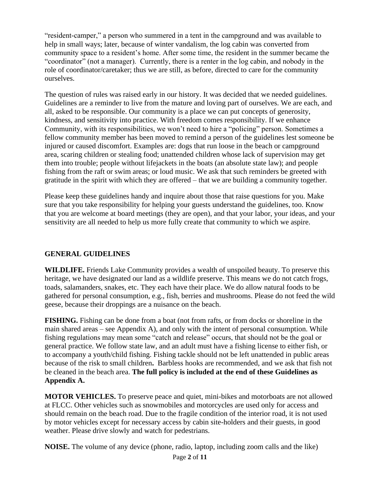"resident-camper," a person who summered in a tent in the campground and was available to help in small ways; later, because of winter vandalism, the log cabin was converted from community space to a resident's home. After some time, the resident in the summer became the "coordinator" (not a manager). Currently, there is a renter in the log cabin, and nobody in the role of coordinator/caretaker; thus we are still, as before, directed to care for the community ourselves.

The question of rules was raised early in our history. It was decided that we needed guidelines. Guidelines are a reminder to live from the mature and loving part of ourselves. We are each, and all, asked to be responsible. Our community is a place we can put concepts of generosity, kindness, and sensitivity into practice. With freedom comes responsibility. If we enhance Community, with its responsibilities, we won't need to hire a "policing" person. Sometimes a fellow community member has been moved to remind a person of the guidelines lest someone be injured or caused discomfort. Examples are: dogs that run loose in the beach or campground area, scaring children or stealing food; unattended children whose lack of supervision may get them into trouble; people without lifejackets in the boats (an absolute state law); and people fishing from the raft or swim areas; or loud music. We ask that such reminders be greeted with gratitude in the spirit with which they are offered – that we are building a community together.

Please keep these guidelines handy and inquire about those that raise questions for you. Make sure that you take responsibility for helping your guests understand the guidelines, too. Know that you are welcome at board meetings (they are open), and that your labor, your ideas, and your sensitivity are all needed to help us more fully create that community to which we aspire.

# **GENERAL GUIDELINES**

**WILDLIFE.** Friends Lake Community provides a wealth of unspoiled beauty. To preserve this heritage, we have designated our land as a wildlife preserve. This means we do not catch frogs, toads, salamanders, snakes, etc. They each have their place. We do allow natural foods to be gathered for personal consumption, e.g., fish, berries and mushrooms. Please do not feed the wild geese, because their droppings are a nuisance on the beach.

**FISHING.** Fishing can be done from a boat (not from rafts, or from docks or shoreline in the main shared areas – see Appendix A), and only with the intent of personal consumption. While fishing regulations may mean some "catch and release" occurs, that should not be the goal or general practice. We follow state law, and an adult must have a fishing license to either fish, or to accompany a youth/child fishing. Fishing tackle should not be left unattended in public areas because of the risk to small children**.** Barbless hooks are recommended, and we ask that fish not be cleaned in the beach area. **The full policy is included at the end of these Guidelines as Appendix A.**

**MOTOR VEHICLES.** To preserve peace and quiet, mini-bikes and motorboats are not allowed at FLCC. Other vehicles such as snowmobiles and motorcycles are used only for access and should remain on the beach road. Due to the fragile condition of the interior road, it is not used by motor vehicles except for necessary access by cabin site-holders and their guests, in good weather. Please drive slowly and watch for pedestrians.

**NOISE.** The volume of any device (phone, radio, laptop, including zoom calls and the like)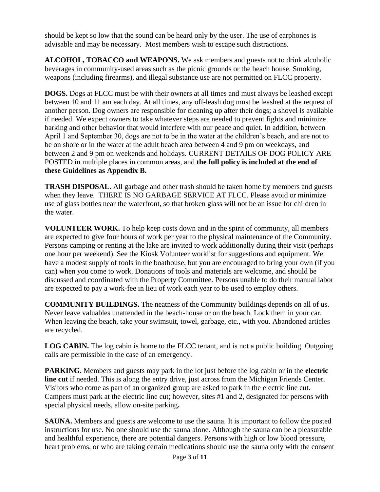should be kept so low that the sound can be heard only by the user. The use of earphones is advisable and may be necessary. Most members wish to escape such distractions.

**ALCOHOL, TOBACCO and WEAPONS.** We ask members and guests not to drink alcoholic beverages in community-used areas such as the picnic grounds or the beach house. Smoking, weapons (including firearms), and illegal substance use are not permitted on FLCC property.

**DOGS.** Dogs at FLCC must be with their owners at all times and must always be leashed except between 10 and 11 am each day. At all times, any off-leash dog must be leashed at the request of another person. Dog owners are responsible for cleaning up after their dogs; a shovel is available if needed. We expect owners to take whatever steps are needed to prevent fights and minimize barking and other behavior that would interfere with our peace and quiet. In addition, between April 1 and September 30, dogs are not to be in the water at the children's beach, and are not to be on shore or in the water at the adult beach area between 4 and 9 pm on weekdays, and between 2 and 9 pm on weekends and holidays. CURRENT DETAILS OF DOG POLICY ARE POSTED in multiple places in common areas, and **the full policy is included at the end of these Guidelines as Appendix B.** 

**TRASH DISPOSAL.** All garbage and other trash should be taken home by members and guests when they leave.THERE IS NO GARBAGE SERVICE AT FLCC. Please avoid or minimize use of glass bottles near the waterfront, so that broken glass will not be an issue for children in the water.

**VOLUNTEER WORK.** To help keep costs down and in the spirit of community, all members are expected to give four hours of work per year to the physical maintenance of the Community. Persons camping or renting at the lake are invited to work additionally during their visit (perhaps one hour per weekend). See the Kiosk Volunteer worklist for suggestions and equipment. We have a modest supply of tools in the boathouse, but you are encouraged to bring your own (if you can) when you come to work. Donations of tools and materials are welcome, and should be discussed and coordinated with the Property Committee. Persons unable to do their manual labor are expected to pay a work-fee in lieu of work each year to be used to employ others.

**COMMUNITY BUILDINGS.** The neatness of the Community buildings depends on all of us. Never leave valuables unattended in the beach-house or on the beach. Lock them in your car. When leaving the beach, take your swimsuit, towel, garbage, etc., with you. Abandoned articles are recycled.

**LOG CABIN.** The log cabin is home to the FLCC tenant, and is not a public building. Outgoing calls are permissible in the case of an emergency.

**PARKING.** Members and guests may park in the lot just before the log cabin or in the **electric line cut** if needed. This is along the entry drive, just across from the Michigan Friends Center. Visitors who come as part of an organized group are asked to park in the electric line cut. Campers must park at the electric line cut; however, sites #1 and 2, designated for persons with special physical needs, allow on-site parking**.**

**SAUNA.** Members and guests are welcome to use the sauna. It is important to follow the posted instructions for use. No one should use the sauna alone. Although the sauna can be a pleasurable and healthful experience, there are potential dangers. Persons with high or low blood pressure, heart problems, or who are taking certain medications should use the sauna only with the consent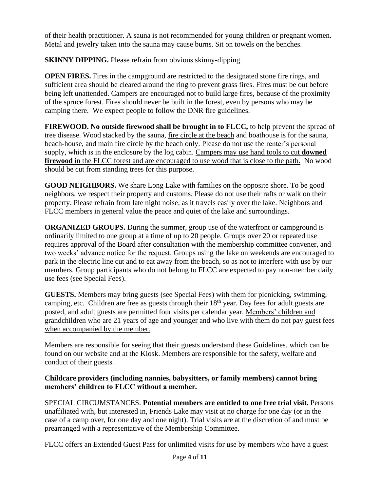of their health practitioner. A sauna is not recommended for young children or pregnant women. Metal and jewelry taken into the sauna may cause burns. Sit on towels on the benches.

**SKINNY DIPPING.** Please refrain from obvious skinny-dipping.

**OPEN FIRES.** Fires in the campground are restricted to the designated stone fire rings, and sufficient area should be cleared around the ring to prevent grass fires. Fires must be out before being left unattended. Campers are encouraged not to build large fires, because of the proximity of the spruce forest. Fires should never be built in the forest, even by persons who may be camping there. We expect people to follow the DNR fire guidelines.

**FIREWOOD. No outside firewood shall be brought in to FLCC,** to help prevent the spread of tree disease. Wood stacked by the sauna, fire circle at the beach and boathouse is for the sauna, beach-house, and main fire circle by the beach only. Please do not use the renter's personal supply, which is in the enclosure by the log cabin. Campers may use hand tools to cut **downed firewood** in the FLCC forest and are encouraged to use wood that is close to the path. No wood should be cut from standing trees for this purpose.

**GOOD NEIGHBORS.** We share Long Lake with families on the opposite shore. To be good neighbors, we respect their property and customs. Please do not use their rafts or walk on their property. Please refrain from late night noise, as it travels easily over the lake. Neighbors and FLCC members in general value the peace and quiet of the lake and surroundings.

**ORGANIZED GROUPS.** During the summer, group use of the waterfront or campground is ordinarily limited to one group at a time of up to 20 people. Groups over 20 or repeated use requires approval of the Board after consultation with the membership committee convener, and two weeks' advance notice for the request. Groups using the lake on weekends are encouraged to park in the electric line cut and to eat away from the beach, so as not to interfere with use by our members. Group participants who do not belong to FLCC are expected to pay non-member daily use fees (see Special Fees).

**GUESTS.** Members may bring guests (see Special Fees) with them for picnicking, swimming, camping, etc. Children are free as guests through their 18<sup>th</sup> year. Day fees for adult guests are posted, and adult guests are permitted four visits per calendar year. Members' children and grandchildren who are 21 years of age and younger and who live with them do not pay guest fees when accompanied by the member.

Members are responsible for seeing that their guests understand these Guidelines, which can be found on our website and at the Kiosk. Members are responsible for the safety, welfare and conduct of their guests.

## **Childcare providers (including nannies, babysitters, or family members) cannot bring members' children to FLCC without a member.**

SPECIAL CIRCUMSTANCES. **Potential members are entitled to one free trial visit.** Persons unaffiliated with, but interested in, Friends Lake may visit at no charge for one day (or in the case of a camp over, for one day and one night). Trial visits are at the discretion of and must be prearranged with a representative of the Membership Committee.

FLCC offers an Extended Guest Pass for unlimited visits for use by members who have a guest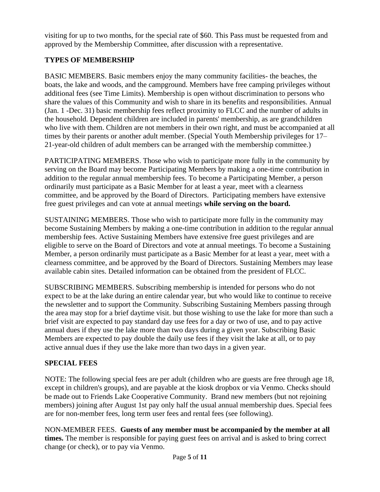visiting for up to two months, for the special rate of \$60. This Pass must be requested from and approved by the Membership Committee, after discussion with a representative.

# **TYPES OF MEMBERSHIP**

BASIC MEMBERS. Basic members enjoy the many community facilities- the beaches, the boats, the lake and woods, and the campground. Members have free camping privileges without additional fees (see Time Limits). Membership is open without discrimination to persons who share the values of this Community and wish to share in its benefits and responsibilities. Annual (Jan. 1 -Dec. 31) basic membership fees reflect proximity to FLCC and the number of adults in the household. Dependent children are included in parents' membership, as are grandchildren who live with them. Children are not members in their own right, and must be accompanied at all times by their parents or another adult member. (Special Youth Membership privileges for 17– 21-year-old children of adult members can be arranged with the membership committee.)

PARTICIPATING MEMBERS. Those who wish to participate more fully in the community by serving on the Board may become Participating Members by making a one-time contribution in addition to the regular annual membership fees. To become a Participating Member, a person ordinarily must participate as a Basic Member for at least a year, meet with a clearness committee, and be approved by the Board of Directors. Participating members have extensive free guest privileges and can vote at annual meetings **while serving on the board.**

SUSTAINING MEMBERS. Those who wish to participate more fully in the community may become Sustaining Members by making a one-time contribution in addition to the regular annual membership fees. Active Sustaining Members have extensive free guest privileges and are eligible to serve on the Board of Directors and vote at annual meetings. To become a Sustaining Member, a person ordinarily must participate as a Basic Member for at least a year, meet with a clearness committee, and be approved by the Board of Directors. Sustaining Members may lease available cabin sites. Detailed information can be obtained from the president of FLCC.

SUBSCRIBING MEMBERS. Subscribing membership is intended for persons who do not expect to be at the lake during an entire calendar year, but who would like to continue to receive the newsletter and to support the Community. Subscribing Sustaining Members passing through the area may stop for a brief daytime visit. but those wishing to use the lake for more than such a brief visit are expected to pay standard day use fees for a day or two of use, and to pay active annual dues if they use the lake more than two days during a given year. Subscribing Basic Members are expected to pay double the daily use fees if they visit the lake at all, or to pay active annual dues if they use the lake more than two days in a given year.

# **SPECIAL FEES**

NOTE: The following special fees are per adult (children who are guests are free through age 18, except in children's groups), and are payable at the kiosk dropbox or via Venmo. Checks should be made out to Friends Lake Cooperative Community. Brand new members (but not rejoining members) joining after August 1st pay only half the usual annual membership dues. Special fees are for non-member fees, long term user fees and rental fees (see following).

NON-MEMBER FEES. **Guests of any member must be accompanied by the member at all times.** The member is responsible for paying guest fees on arrival and is asked to bring correct change (or check), or to pay via Venmo.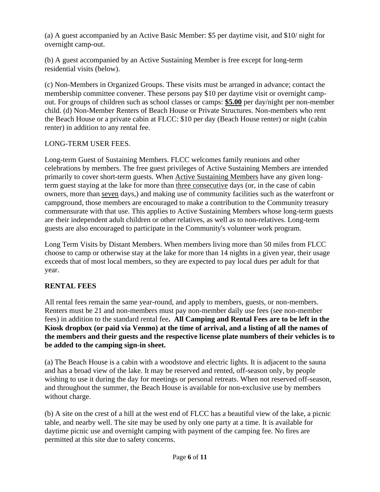(a) A guest accompanied by an Active Basic Member: \$5 per daytime visit, and \$10/ night for overnight camp-out.

(b) A guest accompanied by an Active Sustaining Member is free except for long-term residential visits (below).

(c) Non-Members in Organized Groups. These visits must be arranged in advance; contact the membership committee convener. These persons pay \$10 per daytime visit or overnight campout. For groups of children such as school classes or camps: **\$5.00** per day/night per non-member child. (d) Non-Member Renters of Beach House or Private Structures. Non-members who rent the Beach House or a private cabin at FLCC: \$10 per day (Beach House renter) or night (cabin renter) in addition to any rental fee.

# LONG-TERM USER FEES.

Long-term Guest of Sustaining Members. FLCC welcomes family reunions and other celebrations by members. The free guest privileges of Active Sustaining Members are intended primarily to cover short-term guests. When Active Sustaining Members have any given longterm guest staying at the lake for more than three consecutive days (or, in the case of cabin owners, more than seven days,) and making use of community facilities such as the waterfront or campground, those members are encouraged to make a contribution to the Community treasury commensurate with that use. This applies to Active Sustaining Members whose long-term guests are their independent adult children or other relatives, as well as to non-relatives. Long-term guests are also encouraged to participate in the Community's volunteer work program.

Long Term Visits by Distant Members. When members living more than 50 miles from FLCC choose to camp or otherwise stay at the lake for more than 14 nights in a given year, their usage exceeds that of most local members, so they are expected to pay local dues per adult for that year.

# **RENTAL FEES**

All rental fees remain the same year-round, and apply to members, guests, or non-members. Renters must be 21 and non-members must pay non-member daily use fees (see non-member fees) in addition to the standard rental fee**. All Camping and Rental Fees are to be left in the Kiosk dropbox (or paid via Venmo) at the time of arrival, and a listing of all the names of the members and their guests and the respective license plate numbers of their vehicles is to be added to the camping sign-in sheet.** 

(a) The Beach House is a cabin with a woodstove and electric lights. It is adjacent to the sauna and has a broad view of the lake. It may be reserved and rented, off-season only, by people wishing to use it during the day for meetings or personal retreats. When not reserved off-season, and throughout the summer, the Beach House is available for non-exclusive use by members without charge.

(b) A site on the crest of a hill at the west end of FLCC has a beautiful view of the lake, a picnic table, and nearby well. The site may be used by only one party at a time. It is available for daytime picnic use and overnight camping with payment of the camping fee. No fires are permitted at this site due to safety concerns.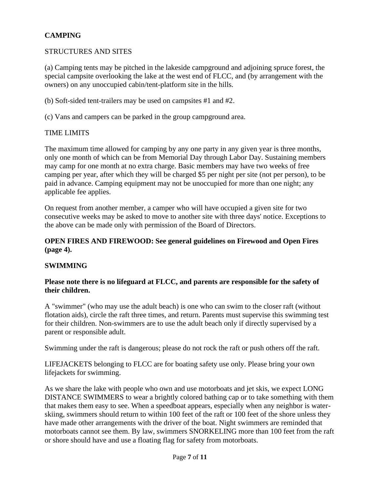# **CAMPING**

### STRUCTURES AND SITES

(a) Camping tents may be pitched in the lakeside campground and adjoining spruce forest, the special campsite overlooking the lake at the west end of FLCC, and (by arrangement with the owners) on any unoccupied cabin/tent-platform site in the hills.

(b) Soft-sided tent-trailers may be used on campsites #1 and #2.

(c) Vans and campers can be parked in the group campground area.

#### TIME LIMITS

The maximum time allowed for camping by any one party in any given year is three months, only one month of which can be from Memorial Day through Labor Day. Sustaining members may camp for one month at no extra charge. Basic members may have two weeks of free camping per year, after which they will be charged \$5 per night per site (not per person), to be paid in advance. Camping equipment may not be unoccupied for more than one night; any applicable fee applies.

On request from another member, a camper who will have occupied a given site for two consecutive weeks may be asked to move to another site with three days' notice. Exceptions to the above can be made only with permission of the Board of Directors.

#### **OPEN FIRES AND FIREWOOD: See general guidelines on Firewood and Open Fires (page 4).**

### **SWIMMING**

### **Please note there is no lifeguard at FLCC, and parents are responsible for the safety of their children.**

A "swimmer" (who may use the adult beach) is one who can swim to the closer raft (without flotation aids), circle the raft three times, and return. Parents must supervise this swimming test for their children. Non-swimmers are to use the adult beach only if directly supervised by a parent or responsible adult.

Swimming under the raft is dangerous; please do not rock the raft or push others off the raft.

LIFEJACKETS belonging to FLCC are for boating safety use only. Please bring your own lifejackets for swimming.

As we share the lake with people who own and use motorboats and jet skis, we expect LONG DISTANCE SWIMMERS to wear a brightly colored bathing cap or to take something with them that makes them easy to see. When a speedboat appears, especially when any neighbor is waterskiing, swimmers should return to within 100 feet of the raft or 100 feet of the shore unless they have made other arrangements with the driver of the boat. Night swimmers are reminded that motorboats cannot see them. By law, swimmers SNORKELING more than 100 feet from the raft or shore should have and use a floating flag for safety from motorboats.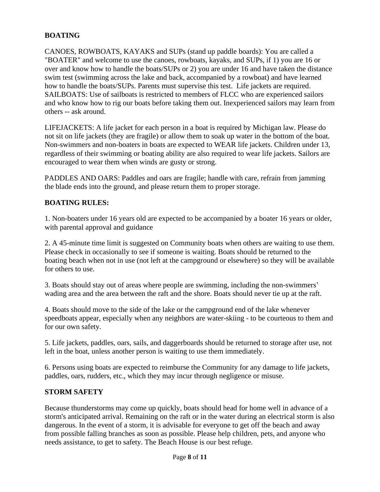## **BOATING**

CANOES, ROWBOATS, KAYAKS and SUPs (stand up paddle boards): You are called a "BOATER" and welcome to use the canoes, rowboats, kayaks, and SUPs, if 1) you are 16 or over and know how to handle the boats/SUPs or 2) you are under 16 and have taken the distance swim test (swimming across the lake and back, accompanied by a rowboat) and have learned how to handle the boats/SUPs. Parents must supervise this test. Life jackets are required. SAILBOATS: Use of sailboats is restricted to members of FLCC who are experienced sailors and who know how to rig our boats before taking them out. Inexperienced sailors may learn from others -- ask around.

LIFEJACKETS: A life jacket for each person in a boat is required by Michigan law. Please do not sit on life jackets (they are fragile) or allow them to soak up water in the bottom of the boat. Non-swimmers and non-boaters in boats are expected to WEAR life jackets. Children under 13, regardless of their swimming or boating ability are also required to wear life jackets. Sailors are encouraged to wear them when winds are gusty or strong.

PADDLES AND OARS: Paddles and oars are fragile; handle with care, refrain from jamming the blade ends into the ground, and please return them to proper storage.

#### **BOATING RULES:**

1. Non-boaters under 16 years old are expected to be accompanied by a boater 16 years or older, with parental approval and guidance

2. A 45-minute time limit is suggested on Community boats when others are waiting to use them. Please check in occasionally to see if someone is waiting. Boats should be returned to the boating beach when not in use (not left at the campground or elsewhere) so they will be available for others to use.

3. Boats should stay out of areas where people are swimming, including the non-swimmers' wading area and the area between the raft and the shore. Boats should never tie up at the raft.

4. Boats should move to the side of the lake or the campground end of the lake whenever speedboats appear, especially when any neighbors are water-skiing - to be courteous to them and for our own safety.

5. Life jackets, paddles, oars, sails, and daggerboards should be returned to storage after use, not left in the boat, unless another person is waiting to use them immediately.

6. Persons using boats are expected to reimburse the Community for any damage to life jackets, paddles, oars, rudders, etc., which they may incur through negligence or misuse.

#### **STORM SAFETY**

Because thunderstorms may come up quickly, boats should head for home well in advance of a storm's anticipated arrival. Remaining on the raft or in the water during an electrical storm is also dangerous. In the event of a storm, it is advisable for everyone to get off the beach and away from possible falling branches as soon as possible. Please help children, pets, and anyone who needs assistance, to get to safety. The Beach House is our best refuge.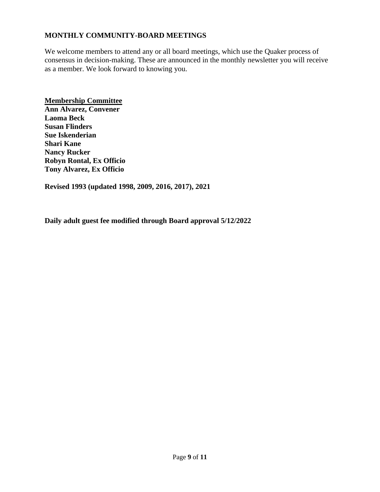## **MONTHLY COMMUNITY-BOARD MEETINGS**

We welcome members to attend any or all board meetings, which use the Quaker process of consensus in decision-making. These are announced in the monthly newsletter you will receive as a member. We look forward to knowing you.

**Membership Committee Ann Alvarez, Convener Laoma Beck Susan Flinders Sue Iskenderian Shari Kane Nancy Rucker Robyn Rontal, Ex Officio Tony Alvarez, Ex Officio**

**Revised 1993 (updated 1998, 2009, 2016, 2017), 2021** 

**Daily adult guest fee modified through Board approval 5/12/2022**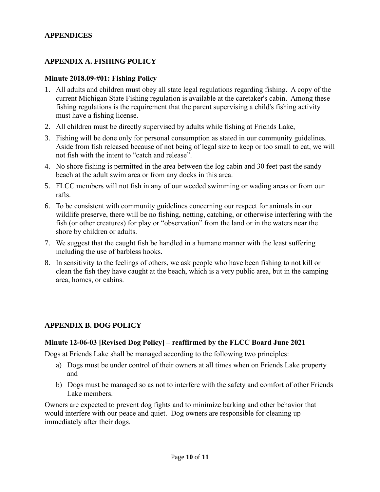### **APPENDICES**

## **APPENDIX A. FISHING POLICY**

#### **Minute 2018.09-#01: Fishing Policy**

- 1. All adults and children must obey all state legal regulations regarding fishing. A copy of the current Michigan State Fishing regulation is available at the caretaker's cabin. Among these fishing regulations is the requirement that the parent supervising a child's fishing activity must have a fishing license.
- 2. All children must be directly supervised by adults while fishing at Friends Lake,
- 3. Fishing will be done only for personal consumption as stated in our community guidelines. Aside from fish released because of not being of legal size to keep or too small to eat, we will not fish with the intent to "catch and release".
- 4. No shore fishing is permitted in the area between the log cabin and 30 feet past the sandy beach at the adult swim area or from any docks in this area.
- 5. FLCC members will not fish in any of our weeded swimming or wading areas or from our rafts.
- 6. To be consistent with community guidelines concerning our respect for animals in our wildlife preserve, there will be no fishing, netting, catching, or otherwise interfering with the fish (or other creatures) for play or "observation" from the land or in the waters near the shore by children or adults.
- 7. We suggest that the caught fish be handled in a humane manner with the least suffering including the use of barbless hooks.
- 8. In sensitivity to the feelings of others, we ask people who have been fishing to not kill or clean the fish they have caught at the beach, which is a very public area, but in the camping area, homes, or cabins.

### **APPENDIX B. DOG POLICY**

### **Minute 12-06-03 [Revised Dog Policy] – reaffirmed by the FLCC Board June 2021**

Dogs at Friends Lake shall be managed according to the following two principles:

- a) Dogs must be under control of their owners at all times when on Friends Lake property and
- b) Dogs must be managed so as not to interfere with the safety and comfort of other Friends Lake members.

Owners are expected to prevent dog fights and to minimize barking and other behavior that would interfere with our peace and quiet. Dog owners are responsible for cleaning up immediately after their dogs.